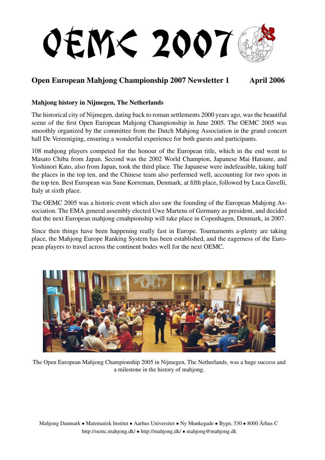

## Open European Mahjong Championship 2007 Newsletter 1 April 2006

## Mahjong history in Nijmegen, The Netherlands

The historical city of Nijmegen, dating back to roman settlements 2000 years ago, was the beautiful scene of the first Open European Mahjong Championship in June 2005. The OEMC 2005 was smoothly organized by the committee from the Dutch Mahjong Association in the grand concert hall De Vereeniging, ensuring a wonderful experience for both guests and participants.

108 mahjong players competed for the honour of the European title, which in the end went to Masato Chiba from Japan. Second was the 2002 World Champion, Japanese Mai Hatsune, and Yoshinori Kato, also from Japan, took the third place. The Japanese were indefeasible, taking half the places in the top ten, and the Chinese team also perfermed well, accounting for two spots in the top ten. Best European was Sune Korreman, Denmark, at fifth place, followed by Luca Gavelli, Italy at sixth place.

The OEMC 2005 was a historic event which also saw the founding of the European Mahjong Association. The EMA general assembly elected Uwe Martens of Germany as president, and decided that the next European mahjong cmahpionship will take place in Copenhagen, Denmark, in 2007.

Since then things have been happening really fast in Europe. Tournaments a-plenty are taking place, the Mahjong Europe Ranking System has been established, and the eagerness of the European players to travel across the continent bodes well for the next OEMC.



The Open European Mahjong Championship 2005 in Nijmegen, The Netherlands, was a huge success and a milestone in the history of mahjong.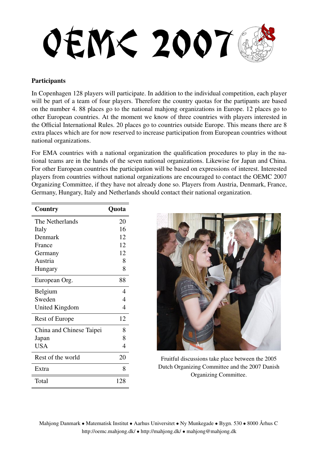**OEM< 2007** 

## **Participants**

In Copenhagen 128 players will participate. In addition to the individual competition, each player will be part of a team of four players. Therefore the country quotas for the partipants are based on the number 4. 88 places go to the national mahjong organizations in Europe. 12 places go to other European countries. At the moment we know of three countries with players interested in the Official International Rules. 20 places go to countries outside Europe. This means there are 8 extra places which are for now reserved to increase participation from European countries without national organizations.

For EMA countries with a national organization the qualification procedures to play in the national teams are in the hands of the seven national organizations. Likewise for Japan and China. For other European countries the participation will be based on expressions of interest. Interested players from countries without national organizations are encouraged to contact the OEMC 2007 Organizing Committee, if they have not already done so. Players from Austria, Denmark, France, Germany, Hungary, Italy and Netherlands should contact their national organization.

| Country                  | Quota          |
|--------------------------|----------------|
| The Netherlands          | 20             |
| Italy                    | 16             |
| Denmark                  | 12             |
| France                   | 12             |
| Germany                  | 12             |
| Austria                  | 8              |
| Hungary                  | 8              |
| European Org.            | 88             |
| Belgium                  | 4              |
| Sweden                   | 4              |
| United Kingdom           | $\overline{4}$ |
| <b>Rest of Europe</b>    | 12             |
| China and Chinese Taipei | 8              |
| Japan                    | 8              |
| <b>USA</b>               | $\overline{4}$ |
| Rest of the world        | 20             |
| Extra                    | 8              |
| Total                    | 128            |



Fruitful discussions take place between the 2005 Dutch Organizing Committee and the 2007 Danish Organizing Committee.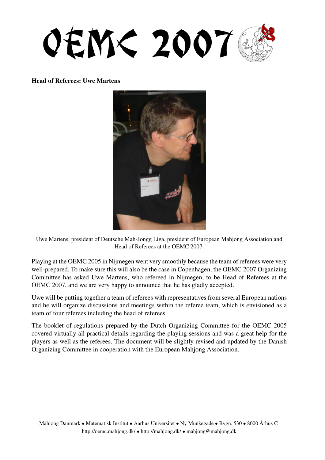**OEM< 2007** 

Head of Referees: Uwe Martens



Uwe Martens, president of Deutsche Mah-Jongg Liga, president of European Mahjong Association and Head of Referees at the OEMC 2007.

Playing at the OEMC 2005 in Nijmegen went very smoothly because the team of referees were very well-prepared. To make sure this will also be the case in Copenhagen, the OEMC 2007 Organizing Committee has asked Uwe Martens, who refereed in Nijmegen, to be Head of Referees at the OEMC 2007, and we are very happy to announce that he has gladly accepted.

Uwe will be putting together a team of referees with representatives from several European nations and he will organize discussions and meetings within the referee team, which is envisioned as a team of four referees including the head of referees.

The booklet of regulations prepared by the Dutch Organizing Committee for the OEMC 2005 covered virtually all practical details regarding the playing sessions and was a great help for the players as well as the referees. The document will be slightly revised and updated by the Danish Organizing Committee in cooperation with the European Mahjong Association.